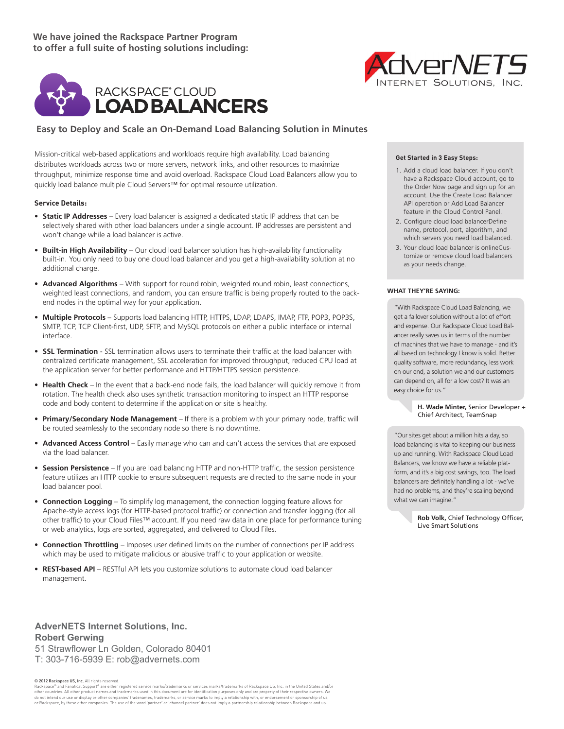**We have joined the Rackspace Partner Program to offer a full suite of hosting solutions including:**



## **Easy to Deploy and Scale an On-Demand Load Balancing Solution in Minutes**

Mission-critical web-based applications and workloads require high availability. Load balancing distributes workloads across two or more servers, network links, and other resources to maximize throughput, minimize response time and avoid overload. Rackspace Cloud Load Balancers allow you to quickly load balance multiple Cloud Servers™ for optimal resource utilization.

### **Service Details:**

- **• Static IP Addresses** Every load balancer is assigned a dedicated static IP address that can be selectively shared with other load balancers under a single account. IP addresses are persistent and won't change while a load balancer is active.
- **• Built-in High Availability** Our cloud load balancer solution has high-availability functionality built-in. You only need to buy one cloud load balancer and you get a high-availability solution at no additional charge.
- **Advanced Algorithms** With support for round robin, weighted round robin, least connections, weighted least connections, and random, you can ensure traffic is being properly routed to the backend nodes in the optimal way for your application.
- **• Multiple Protocols** Supports load balancing HTTP, HTTPS, LDAP, LDAPS, IMAP, FTP, POP3, POP3S, SMTP, TCP, TCP Client-first, UDP, SFTP, and MySQL protocols on either a public interface or internal interface.
- **SSL Termination** SSL termination allows users to terminate their traffic at the load balancer with centralized certificate management, SSL acceleration for improved throughput, reduced CPU load at the application server for better performance and HTTP/HTTPS session persistence.
- **• Health Check** In the event that a back-end node fails, the load balancer will quickly remove it from rotation. The health check also uses synthetic transaction monitoring to inspect an HTTP response code and body content to determine if the application or site is healthy.
- **• Primary/Secondary Node Management** If there is a problem with your primary node, traffic will be routed seamlessly to the secondary node so there is no downtime.
- **Advanced Access Control** Easily manage who can and can't access the services that are exposed via the load balancer.
- **Session Persistence** If you are load balancing HTTP and non-HTTP traffic, the session persistence feature utilizes an HTTP cookie to ensure subsequent requests are directed to the same node in your load balancer pool.
- **• Connection Logging** To simplify log management, the connection logging feature allows for Apache-style access logs (for HTTP-based protocol traffic) or connection and transfer logging (for all other traffic) to your Cloud Files™ account. If you need raw data in one place for performance tuning or web analytics, logs are sorted, aggregated, and delivered to Cloud Files.
- **• Connection Throttling** Imposes user defined limits on the number of connections per IP address which may be used to mitigate malicious or abusive traffic to your application or website.
- **• REST-based API** RESTful API lets you customize solutions to automate cloud load balancer management.

**AdverNETS Internet Solutions, Inc. Robert Gerwing** 51 Strawflower Ln Golden, Colorado 80401 T: 303-716-5939 E: rob@advernets.com

© 2012 Rackspace US, Inc. All rights reserved.

Rackspace® and Fanatical Support® are either registered service marks/trademarks or services marks/trademarks of Rackspace US, Inc. in the United States and/or other countries. All other product names and trademarks used in this document are for identification purposes only and are property of their respective owners. We do not intend our use or display or other companies' tradenames, trademarks, or service marks to imply a relationship with, or endorsement or sponsorship of us, or Rackspace, by these other companies. The use of the word 'partner' or 'channel partner' does not imply a partnership relationship between Rackspace and us.



#### **WHAT THEY'RE SAYING: Get Started in 3 Easy Steps:**

- 1. Add a cloud load balancer. If you don't have a Rackspace Cloud account, go to the Order Now page and sign up for an account. Use the Create Load Balancer API operation or Add Load Balancer feature in the Cloud Control Panel.
- 2. Configure cloud load balancerDefine name, protocol, port, algorithm, and which servers you need load balanced.
- 3. Your cloud load balancer is onlineCustomize or remove cloud load balancers as your needs change.

#### **What They're Saying:**

"With Rackspace Cloud Load Balancing, we get a failover solution without a lot of effort and expense. Our Rackspace Cloud Load Balancer really saves us in terms of the number of machines that we have to manage - and it's all based on technology I know is solid. Better quality software, more redundancy, less work on our end, a solution we and our customers can depend on, all for a low cost? It was an easy choice for us."

> **H. Wade Minter,** Senior Developer + Chief Architect, TeamSnap

"Our sites get about a million hits a day, so load balancing is vital to keeping our business up and running. With Rackspace Cloud Load Balancers, we know we have a reliable platform, and it's a big cost savings, too. The load balancers are definitely handling a lot - we've had no problems, and they're scaling beyond what we can imagine."

> **Rob Volk,** Chief Technology Officer, Live Smart Solutions